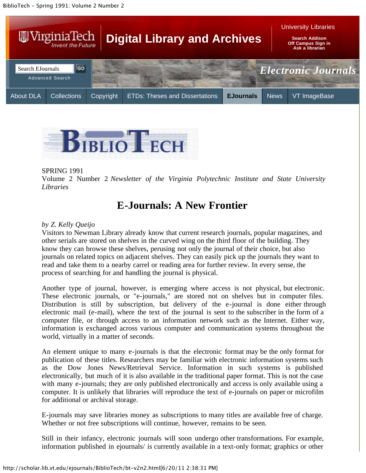



#### SPRING 1991

Volume 2 Number 2 *Newsletter of the Virginia Polytechnic Institute and State University Libraries*

### **E-Journals: A New Frontier**

#### *by Z. Kelly Queijo*

Visitors to Newman Library already know that current research journals, popular magazines, and other serials are stored on shelves in the curved wing on the third floor of the building. They know they can browse these shelves, perusing not only the journal of their choice, but also journals on related topics on adjacent shelves. They can easily pick up the journals they want to read and take them to a nearby carrel or reading area for further review. In every sense, the process of searching for and handling the journal is physical.

Another type of journal, however, is emerging where access is not physical, but electronic. These electronic journals, or "e-journals," are stored not on shelves but in computer files. Distribution is still by subscription, but delivery of the e-journal is done either through electronic mail (e-mail), where the text of the journal is sent to the subscriber in the form of a computer file, or through access to an information network such as the Internet. Either way, information is exchanged across various computer and communication systems throughout the world, virtually in a matter of seconds.

An element unique to many e-journals is that the electronic format may be the only format for publication of these titles. Researchers may be familiar with electronic information systems such as the Dow Jones News/Retrieval Service. Information in such systems is published electronically, but much of it is also available in the traditional paper format. This is not the case with many e-journals; they are only published electronically and access is only available using a computer. It is unlikely that libraries will reproduce the text of e-journals on paper or microfilm for additional or archival storage.

E-journals may save libraries money as subscriptions to many titles are available free of charge. Whether or not free subscriptions will continue, however, remains to be seen.

Still in their infancy, electronic journals will soon undergo other transformations. For example, information published in ejournals/ is currently available in a text-only format; graphics or other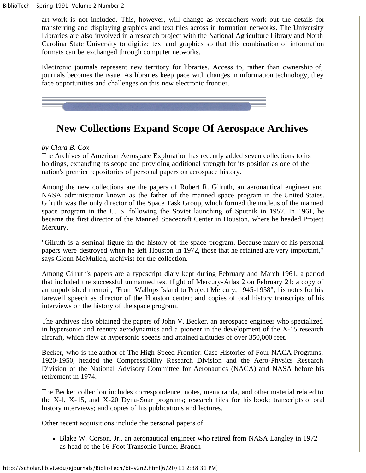art work is not included. This, however, will change as researchers work out the details for transferring and displaying graphics and text files across in formation networks. The University Libraries are also involved in a research project with the National Agriculture Library and North Carolina State University to digitize text and graphics so that this combination of information formats can be exchanged through computer networks.

Electronic journals represent new territory for libraries. Access to, rather than ownership of, journals becomes the issue. As libraries keep pace with changes in information technology, they face opportunities and challenges on this new electronic frontier.



# **New Collections Expand Scope Of Aerospace Archives**

### *by Clara B. Cox*

The Archives of American Aerospace Exploration has recently added seven collections to its holdings, expanding its scope and providing additional strength for its position as one of the nation's premier repositories of personal papers on aerospace history.

Among the new collections are the papers of Robert R. Gilruth, an aeronautical engineer and NASA administrator known as the father of the manned space program in the United States. Gilruth was the only director of the Space Task Group, which formed the nucleus of the manned space program in the U. S. following the Soviet launching of Sputnik in 1957. In 1961, he became the first director of the Manned Spacecraft Center in Houston, where he headed Project Mercury.

"Gilruth is a seminal figure in the history of the space program. Because many of his personal papers were destroyed when he left Houston in 1972, those that he retained are very important," says Glenn McMullen, archivist for the collection.

Among Gilruth's papers are a typescript diary kept during February and March 1961, a period that included the successful unmanned test flight of Mercury-Atlas 2 on February 21; a copy of an unpublished memoir, "From Wallops Island to Project Mercury, 1945-1958"; his notes for his farewell speech as director of the Houston center; and copies of oral history transcripts of his interviews on the history of the space program.

The archives also obtained the papers of John V. Becker, an aerospace engineer who specialized in hypersonic and reentry aerodynamics and a pioneer in the development of the X-15 research aircraft, which flew at hypersonic speeds and attained altitudes of over 350,000 feet.

Becker, who is the author of The High-Speed Frontier: Case Histories of Four NACA Programs, 1920-1950, headed the Compressibility Research Division and the Aero-Physics Research Division of the National Advisory Committee for Aeronautics (NACA) and NASA before his retirement in 1974.

The Becker collection includes correspondence, notes, memoranda, and other material related to the X-l, X-15, and X-20 Dyna-Soar programs; research files for his book; transcripts of oral history interviews; and copies of his publications and lectures.

Other recent acquisitions include the personal papers of:

Blake W. Corson, Jr., an aeronautical engineer who retired from NASA Langley in 1972 as head of the 16-Foot Transonic Tunnel Branch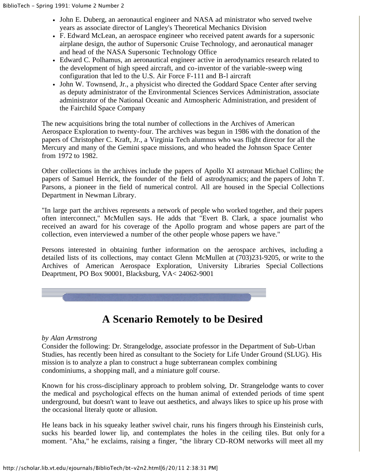- John E. Duberg, an aeronautical engineer and NASA ad ministrator who served twelve years as associate director of Langley's Theoretical Mechanics Division
- F. Edward McLean, an aerospace engineer who received patent awards for a supersonic airplane design, the author of Supersonic Cruise Technology, and aeronautical manager and head of the NASA Supersonic Technology Office
- Edward C. Polhamus, an aeronautical engineer active in aerodynamics research related to the development of high speed aircraft, and co-inventor of the variable-sweep wing configuration that led to the U.S. Air Force F-111 and B-l aircraft
- John W. Townsend, Jr., a physicist who directed the Goddard Space Center after serving as deputy administrator of the Environmental Sciences Services Administration, associate administrator of the National Oceanic and Atmospheric Administration, and president of the Fairchild Space Company

The new acquisitions bring the total number of collections in the Archives of American Aerospace Exploration to twenty-four. The archives was begun in 1986 with the donation of the papers of Christopher C. Kraft, Jr., a Virginia Tech alumnus who was flight director for all the Mercury and many of the Gemini space missions, and who headed the Johnson Space Center from 1972 to 1982.

Other collections in the archives include the papers of Apollo XI astronaut Michael Collins; the papers of Samuel Herrick, the founder of the field of astrodynamics; and the papers of John T. Parsons, a pioneer in the field of numerical control. All are housed in the Special Collections Department in Newman Library.

"In large part the archives represents a network of people who worked together, and their papers often interconnect," McMullen says. He adds that "Evert B. Clark, a space journalist who received an award for his coverage of the Apollo program and whose papers are part of the collection, even interviewed a number of the other people whose papers we have."

Persons interested in obtaining further information on the aerospace archives, including a detailed lists of its collections, may contact Glenn McMullen at (703)231-9205, or write to the Archives of American Aerospace Exploration, University Libraries Special Collections Deaprtment, PO Box 90001, Blacksburg, VA< 24062-9001



# **A Scenario Remotely to be Desired**

### *by Alan Armstrong*

Consider the following: Dr. Strangelodge, associate professor in the Department of Sub-Urban Studies, has recently been hired as consultant to the Society for Life Under Ground (SLUG). His mission is to analyze a plan to construct a huge subterranean complex combining condominiums, a shopping mall, and a miniature golf course.

Known for his cross-disciplinary approach to problem solving, Dr. Strangelodge wants to cover the medical and psychological effects on the human animal of extended periods of time spent underground, but doesn't want to leave out aesthetics, and always likes to spice up his prose with the occasional literaly quote or allusion.

He leans back in his squeaky leather swivel chair, runs his fingers through his Einsteinish curls, sucks his bearded lower lip, and contemplates the holes in the ceiling tiles. But only for a moment. "Aha," he exclaims, raising a finger, "the library CD-ROM networks will meet all my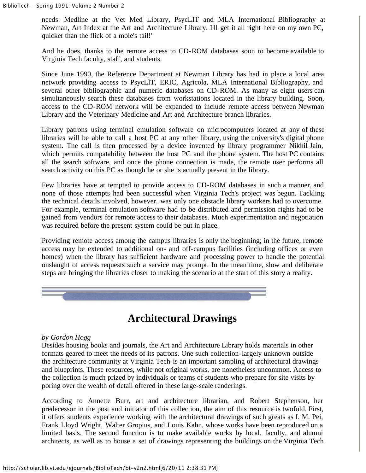needs: Medline at the Vet Med Library, PsycLIT and MLA International Bibliography at Newman, Art Index at the Art and Architecture Library. I'll get it all right here on my own PC, quicker than the flick of a mole's tail!"

And he does, thanks to the remote access to CD-ROM databases soon to become available to Virginia Tech faculty, staff, and students.

Since June 1990, the Reference Department at Newman Library has had in place a local area network providing access to PsycLlT, ERIC, Agricola, MLA International Bibliography, and several other bibliographic and numeric databases on CD-ROM. As many as eight users can simultaneously search these databases from workstations located in the library building. Soon, access to the CD-ROM network will be expanded to include remote access between Newman Library and the Veterinary Medicine and Art and Architecture branch libraries.

Library patrons using terminal emulation software on microcomputers located at any of these libraries will be able to call a host PC at any other library, using the university's digital phone system. The call is then processed by a device invented by library programmer Nikhil Jain, which permits compatability between the host PC and the phone system. The host PC contains all the search software, and once the phone connection is made, the remote user performs all search activity on this PC as though he or she is actually present in the library.

Few libraries have at tempted to provide access to CD-ROM databases in such a manner, and none of those attempts had been successful when Virginia Tech's project was begun. Tackling the technical details involved, however, was only one obstacle library workers had to overcome. For example, terminal emulation software had to be distributed and permission rights had to be gained from vendors for remote access to their databases. Much experimentation and negotiation was required before the present system could be put in place.

Providing remote access among the campus libraries is only the beginning; in the future, remote access may be extended to additional on- and off-campus facilities (including offices or even homes) when the library has sufficient hardware and processing power to handle the potential onslaught of access requests such a service may prompt. In the mean time, slow and deliberate steps are bringing the libraries closer to making the scenario at the start of this story a reality.

# **Architectural Drawings**

### *by Gordon Hogg*

Besides housing books and journals, the Art and Architecture Library holds materials in other formats geared to meet the needs of its patrons. One such collection-largely unknown outside the architecture community at Virginia Tech-is an important sampling of architectural drawings and blueprints. These resources, while not original works, are nonetheless uncommon. Access to the collection is much prized by individuals or teams of students who prepare for site visits by poring over the wealth of detail offered in these large-scale renderings.

According to Annette Burr, art and architecture librarian, and Robert Stephenson, her predecessor in the post and initiator of this collection, the aim of this resource is twofold. First, it offers students experience working with the architectural drawings of such greats as I. M. Pei, Frank Lloyd Wright, Walter Gropius, and Louis Kahn, whose works have been reproduced on a limited basis. The second function is to make available works by local, faculty, and alumni architects, as well as to house a set of drawings representing the buildings on the Virginia Tech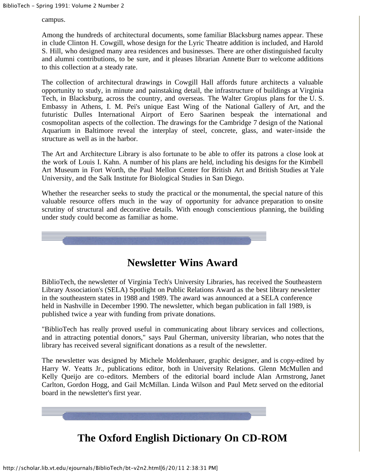campus.

Among the hundreds of architectural documents, some familiar Blacksburg names appear. These in clude Clinton H. Cowgill, whose design for the Lyric Theatre addition is included, and Harold S. Hill, who designed many area residences and businesses. There are other distinguished faculty and alumni contributions, to be sure, and it pleases librarian Annette Burr to welcome additions to this collection at a steady rate.

The collection of architectural drawings in Cowgill Hall affords future architects a valuable opportunity to study, in minute and painstaking detail, the infrastructure of buildings at Virginia Tech, in Blacksburg, across the country, and overseas. The Walter Gropius plans for the U. S. Embassy in Athens, I. M. Pei's unique East Wing of the National Gallery of Art, and the futuristic Dulles International Airport of Eero Saarinen bespeak the international and cosmopolitan aspects of the collection. The drawings for the Cambridge 7 design of the National Aquarium in Baltimore reveal the interplay of steel, concrete, glass, and water-inside the structure as well as in the harbor.

The Art and Architecture Library is also fortunate to be able to offer its patrons a close look at the work of Louis I. Kahn. A number of his plans are held, including his designs for the Kimbell Art Museum in Fort Worth, the Paul Mellon Center for British Art and British Studies at Yale University, and the Salk Institute for Biological Studies in San Diego.

Whether the researcher seeks to study the practical or the monumental, the special nature of this valuable resource offers much in the way of opportunity for advance preparation to on-site scrutiny of structural and decorative details. With enough conscientious planning, the building under study could become as familiar as home.



# **Newsletter Wins Award**

BiblioTech, the newsletter of Virginia Tech's University Libraries, has received the Southeastern Library Association's (SELA) Spotlight on Public Relations Award as the best library newsletter in the southeastern states in 1988 and 1989. The award was announced at a SELA conference held in Nashville in December 1990. The newsletter, which began publication in fall 1989, is published twice a year with funding from private donations.

"BiblioTech has really proved useful in communicating about library services and collections, and in attracting potential donors," says Paul Gherman, university librarian, who notes that the library has received several significant donations as a result of the newsletter.

The newsletter was designed by Michele Moldenhauer, graphic designer, and is copy-edited by Harry W. Yeatts Jr., publications editor, both in University Relations. Glenn McMullen and Kelly Queijo are co-editors. Members of the editorial board include Alan Armstrong, Janet Carlton, Gordon Hogg, and Gail McMillan. Linda Wilson and Paul Metz served on the editorial board in the newsletter's first year.



# **The Oxford English Dictionary On CD-ROM**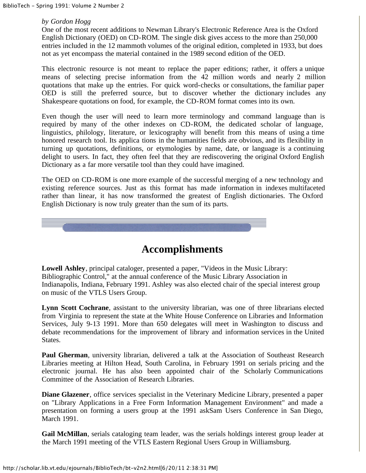### *by Gordon Hogg*

One of the most recent additions to Newman Library's Electronic Reference Area is the Oxford English Dictionary (OED) on CD-ROM. The single disk gives access to the more than 250,000 entries included in the 12 mammoth volumes of the original edition, completed in 1933, but does not as yet encompass the material contained in the 1989 second edition of the OED.

This electronic resource is not meant to replace the paper editions; rather, it offers a unique means of selecting precise information from the 42 million words and nearly 2 million quotations that make up the entries. For quick word-checks or consultations, the familiar paper OED is still the preferred source, but to discover whether the dictionary includes any Shakespeare quotations on food, for example, the CD-ROM format comes into its own.

Even though the user will need to learn more terminology and command language than is required by many of the other indexes on CD-ROM, the dedicated scholar of language, linguistics, philology, literature, or lexicography will benefit from this means of using a time honored research tool. Its applica tions in the humanities fields are obvious, and its flexibility in turning up quotations, definitions, or etymologies by name, date, or language is a continuing delight to users. In fact, they often feel that they are rediscovering the original Oxford English Dictionary as a far more versatile tool than they could have imagined.

The OED on CD-ROM is one more example of the successful merging of a new technology and existing reference sources. Just as this format has made information in indexes multifaceted rather than linear, it has now transformed the greatest of English dictionaries. The Oxford English Dictionary is now truly greater than the sum of its parts.



### **Accomplishments**

**Lowell Ashley**, principal cataloger, presented a paper, "Videos in the Music Library: Bibliographic Control," at the annual conference of the Music Library Association in Indianapolis, Indiana, February 1991. Ashley was also elected chair of the special interest group on music of the VTLS Users Group.

**Lynn Scott Cochrane**, assistant to the university librarian, was one of three librarians elected from Virginia to represent the state at the White House Conference on Libraries and Information Services, July 9-13 1991. More than 650 delegates will meet in Washington to discuss and debate recommendations for the improvement of library and information services in the United States.

**Paul Gherman**, university librarian, delivered a talk at the Association of Southeast Research Libraries meeting at Hilton Head, South Carolina, in February 1991 on serials pricing and the electronic journal. He has also been appointed chair of the Scholarly Communications Committee of the Association of Research Libraries.

**Diane Glazener**, office services specialist in the Veterinary Medicine Library, presented a paper on "Library Applications in a Free Form Information Management Environment" and made a presentation on forming a users group at the 1991 askSam Users Conference in San Diego, March 1991.

**Gail McMillan**, serials cataloging team leader, was the serials holdings interest group leader at the March 1991 meeting of the VTLS Eastern Regional Users Group in Williamsburg.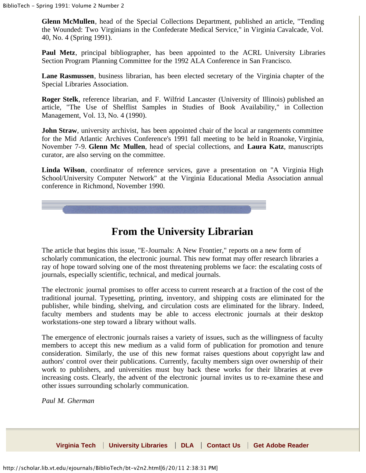**Glenn McMullen**, head of the Special Collections Department, published an article, "Tending the Wounded: Two Virginians in the Confederate Medical Service," in Virginia Cavalcade, Vol. 40, No. 4 (Spring 1991).

**Paul Metz**, principal bibliographer, has been appointed to the ACRL University Libraries Section Program Planning Committee for the 1992 ALA Conference in San Francisco.

**Lane Rasmussen**, business librarian, has been elected secretary of the Virginia chapter of the Special Libraries Association.

**Roger Stelk**, reference librarian, and F. Wilfrid Lancaster (University of Illinois) published an article, "The Use of Shelflist Samples in Studies of Book Availability," in Collection Management, Vol. 13, No. 4 (1990).

**John Straw**, university archivist, has been appointed chair of the local ar rangements committee for the Mid Atlantic Archives Conference's 1991 fall meeting to be held in Roanoke, Virginia, November 7-9. **Glenn Mc Mullen**, head of special collections, and **Laura Katz**, manuscripts curator, are also serving on the committee.

**Linda Wilson**, coordinator of reference services, gave a presentation on "A Virginia High School/University Computer Network" at the Virginia Educational Media Association annual conference in Richmond, November 1990.



## **From the University Librarian**

The article that begins this issue, "E-Journals: A New Frontier," reports on a new form of scholarly communication, the electronic journal. This new format may offer research libraries a ray of hope toward solving one of the most threatening problems we face: the escalating costs of journals, especially scientific, technical, and medical journals.

The electronic journal promises to offer access to current research at a fraction of the cost of the traditional journal. Typesetting, printing, inventory, and shipping costs are eliminated for the publisher, while binding, shelving, and circulation costs are eliminated for the library. Indeed, faculty members and students may be able to access electronic journals at their desktop workstations-one step toward a library without walls.

The emergence of electronic journals raises a variety of issues, such as the willingness of faculty members to accept this new medium as a valid form of publication for promotion and tenure consideration. Similarly, the use of this new format raises questions about copyright law and authors' control over their publications. Currently, faculty members sign over ownership of their work to publishers, and universities must buy back these works for their libraries at everincreasing costs. Clearly, the advent of the electronic journal invites us to re-examine these and other issues surrounding scholarly communication.

*Paul M. Gherman*

**[Virginia Tech](http://www.vt.edu/) | [University Libraries](http://www.lib.vt.edu/) | [DLA](http://scholar.lib.vt.edu/index.html) | [Contact Us](http://scholar.lib.vt.edu/cgi-bin/comment.pl) | [Get Adobe Reader](http://get.adobe.com/reader/)**